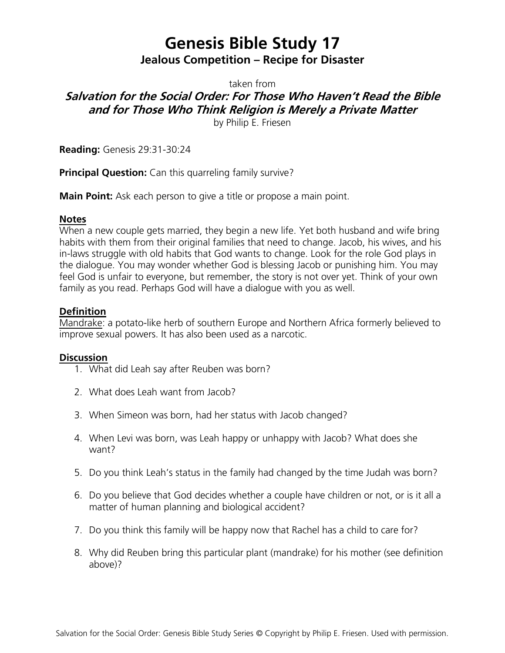# **Genesis Bible Study 17 Jealous Competition – Recipe for Disaster**

taken from

## **Salvation for the Social Order: For Those Who Haven't Read the Bible and for Those Who Think Religion is Merely a Private Matter**

by Philip E. Friesen

**Reading:** Genesis 29:31-30:24

**Principal Question:** Can this quarreling family survive?

**Main Point:** Ask each person to give a title or propose a main point.

#### **Notes**

When a new couple gets married, they begin a new life. Yet both husband and wife bring habits with them from their original families that need to change. Jacob, his wives, and his in-laws struggle with old habits that God wants to change. Look for the role God plays in the dialogue. You may wonder whether God is blessing Jacob or punishing him. You may feel God is unfair to everyone, but remember, the story is not over yet. Think of your own family as you read. Perhaps God will have a dialogue with you as well.

## **Definition**

Mandrake: a potato-like herb of southern Europe and Northern Africa formerly believed to improve sexual powers. It has also been used as a narcotic.

## **Discussion**

- 1. What did Leah say after Reuben was born?
- 2. What does Leah want from Jacob?
- 3. When Simeon was born, had her status with Jacob changed?
- 4. When Levi was born, was Leah happy or unhappy with Jacob? What does she want?
- 5. Do you think Leah's status in the family had changed by the time Judah was born?
- 6. Do you believe that God decides whether a couple have children or not, or is it all a matter of human planning and biological accident?
- 7. Do you think this family will be happy now that Rachel has a child to care for?
- 8. Why did Reuben bring this particular plant (mandrake) for his mother (see definition above)?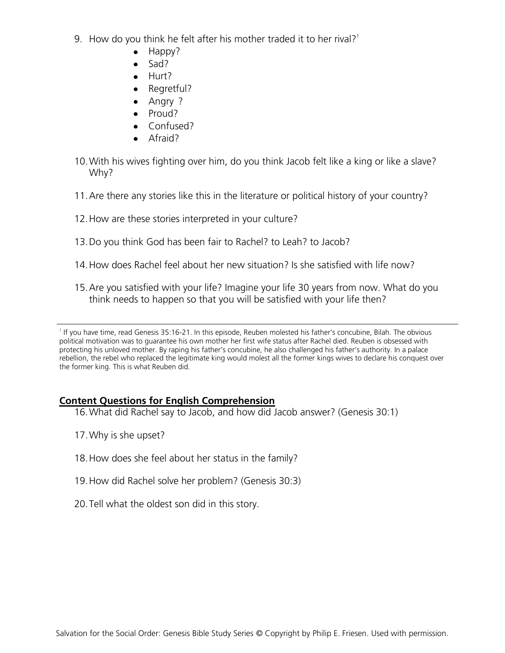- 9. How do you think he felt after his mother traded it to her rival?<sup>1</sup>
	- Happy?
		- Sad?  $\bullet$
	- Hurt?
	- Regretful?
	- Angry ?  $\bullet$
	- Proud?
	- Confused?
	- Afraid?
- 10.With his wives fighting over him, do you think Jacob felt like a king or like a slave? Why?
- 11.Are there any stories like this in the literature or political history of your country?
- 12.How are these stories interpreted in your culture?
- 13.Do you think God has been fair to Rachel? to Leah? to Jacob?
- 14.How does Rachel feel about her new situation? Is she satisfied with life now?
- 15.Are you satisfied with your life? Imagine your life 30 years from now. What do you think needs to happen so that you will be satisfied with your life then?

## **Content Questions for English Comprehension**

- 16.What did Rachel say to Jacob, and how did Jacob answer? (Genesis 30:1)
- 17.Why is she upset?
- 18.How does she feel about her status in the family?
- 19.How did Rachel solve her problem? (Genesis 30:3)
- 20.Tell what the oldest son did in this story.

<sup>&</sup>lt;sup>1</sup> If you have time, read Genesis 35:16-21. In this episode, Reuben molested his father's concubine, Bilah. The obvious political motivation was to guarantee his own mother her first wife status after Rachel died. Reuben is obsessed with protecting his unloved mother. By raping his father's concubine, he also challenged his father's authority. In a palace rebellion, the rebel who replaced the legitimate king would molest all the former kings wives to declare his conquest over the former king. This is what Reuben did.